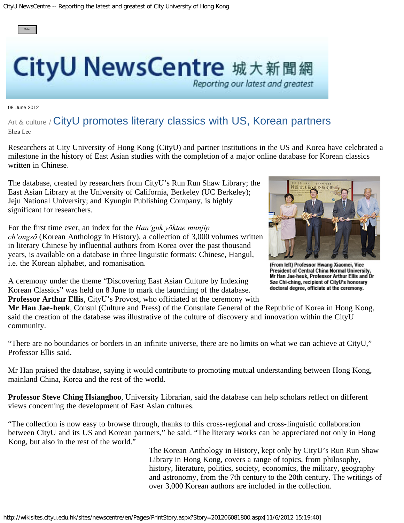

## **CityU NewsCentre** 城大新聞網

08 June 2012

## Art & culture / CityU promotes literary classics with US, Korean partners Eliza Lee

Researchers at City University of Hong Kong (CityU) and partner institutions in the US and Korea have celebrated a milestone in the history of East Asian studies with the completion of a major online database for Korean classics written in Chinese.

The database, created by researchers from CityU's Run Run Shaw Library; the East Asian Library at the University of California, Berkeley (UC Berkeley); Jeju National University; and Kyungin Publishing Company, is highly significant for researchers.

For the first time ever, an index for the *Han'guk yŏktae munjip ch'ongsŏ* (Korean Anthology in History), a collection of 3,000 volumes written in literary Chinese by influential authors from Korea over the past thousand years, is available on a database in three linguistic formats: Chinese, Hangul, i.e. the Korean alphabet, and romanisation.

A ceremony under the theme "Discovering East Asian Culture by Indexing Korean Classics" was held on 8 June to mark the launching of the database. **Professor Arthur Ellis**, CityU's Provost, who officiated at the ceremony with

**Mr Han Jae-heuk**, Consul (Culture and Press) of the Consulate General of the Republic of Korea in Hong Kong, said the creation of the database was illustrative of the culture of discovery and innovation within the CityU community.

"There are no boundaries or borders in an infinite universe, there are no limits on what we can achieve at CityU," Professor Ellis said.

Mr Han praised the database, saying it would contribute to promoting mutual understanding between Hong Kong, mainland China, Korea and the rest of the world.

**Professor Steve Ching Hsianghoo**, University Librarian, said the database can help scholars reflect on different views concerning the development of East Asian cultures.

"The collection is now easy to browse through, thanks to this cross-regional and cross-linguistic collaboration between CityU and its US and Korean partners," he said. "The literary works can be appreciated not only in Hong Kong, but also in the rest of the world."

> The Korean Anthology in History, kept only by CityU's Run Run Shaw Library in Hong Kong, covers a range of topics, from philosophy, history, literature, politics, society, economics, the military, geography and astronomy, from the 7th century to the 20th century. The writings of over 3,000 Korean authors are included in the collection.



(From left) Professor Hwang Xiaomei, Vice President of Central China Normal University. Mr Han Jae-heuk, Professor Arthur Ellis and Dr Sze Chi-ching, recipient of CityU's honorary doctoral degree, officiate at the ceremony.